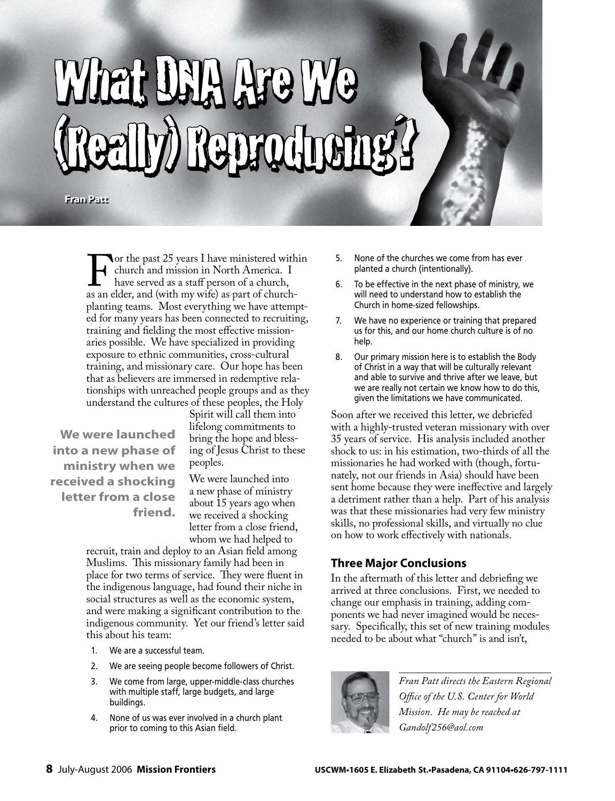# What DNA Are We (Really) Reproducing? (Really) Reproducing?

**Fran Patt Fran Patt**

For the past 25 years I have ministered within<br>
church and mission in North America. I<br>
have served as a staff person of a church-<br>
as an elder, and (with my wife) as part of churchchurch and mission in North America. I have served as a staff person of a church, planting teams. Most everything we have attempted for many years has been connected to recruiting, training and fielding the most effective missionaries possible. We have specialized in providing exposure to ethnic communities, cross-cultural training, and missionary care. Our hope has been that as believers are immersed in redemptive relationships with unreached people groups and as they understand the cultures of these peoples, the Holy

**We were launched into a new phase of ministry when we received a shocking letter from a close friend.** Spirit will call them into lifelong commitments to bring the hope and blessing of Jesus Christ to these peoples.

We were launched into a new phase of ministry about 15 years ago when we received a shocking letter from a close friend, whom we had helped to

recruit, train and deploy to an Asian field among Muslims. This missionary family had been in place for two terms of service. They were fluent in the indigenous language, had found their niche in social structures as well as the economic system, and were making a significant contribution to the indigenous community. Yet our friend's letter said this about his team:

- 1. We are a successful team.
- 2. We are seeing people become followers of Christ.
- 3. We come from large, upper-middle-class churches with multiple staff, large budgets, and large buildings.
- 4. None of us was ever involved in a church plant prior to coming to this Asian field.
- 5. None of the churches we come from has ever planted a church (intentionally).
- 6. To be effective in the next phase of ministry, we will need to understand how to establish the Church in home-sized fellowships.
- 7. We have no experience or training that prepared us for this, and our home church culture is of no help.
- 8. Our primary mission here is to establish the Body of Christ in a way that will be culturally relevant and able to survive and thrive after we leave, but we are really not certain we know how to do this, given the limitations we have communicated.

Soon after we received this letter, we debriefed with a highly-trusted veteran missionary with over 35 years of service. His analysis included another shock to us: in his estimation, two-thirds of all the missionaries he had worked with (though, fortunately, not our friends in Asia) should have been sent home because they were ineffective and largely a detriment rather than a help. Part of his analysis was that these missionaries had very few ministry skills, no professional skills, and virtually no clue on how to work effectively with nationals.

## **Three Major Conclusions**

In the aftermath of this letter and debriefing we arrived at three conclusions. First, we needed to change our emphasis in training, adding components we had never imagined would be necessary. Specifically, this set of new training modules needed to be about what "church" is and isn't,



*Fran Patt directs the Eastern Regional Office of the U.S. Center for World Mission. He may be reached at Gandolf256@aol.com*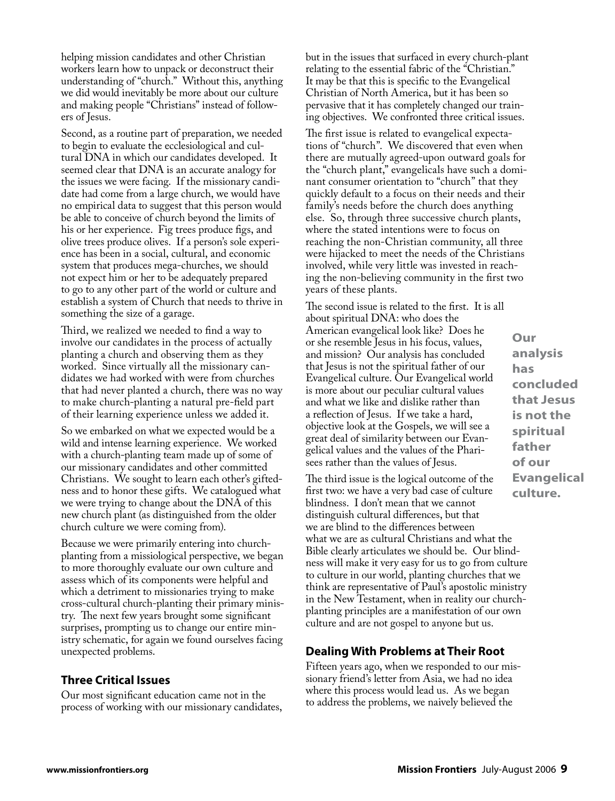helping mission candidates and other Christian workers learn how to unpack or deconstruct their understanding of "church." Without this, anything we did would inevitably be more about our culture and making people "Christians" instead of followers of Jesus.

Second, as a routine part of preparation, we needed to begin to evaluate the ecclesiological and cultural DNA in which our candidates developed. It seemed clear that DNA is an accurate analogy for the issues we were facing. If the missionary candidate had come from a large church, we would have no empirical data to suggest that this person would be able to conceive of church beyond the limits of his or her experience. Fig trees produce figs, and olive trees produce olives. If a person's sole experience has been in a social, cultural, and economic system that produces mega-churches, we should not expect him or her to be adequately prepared to go to any other part of the world or culture and establish a system of Church that needs to thrive in something the size of a garage.

Third, we realized we needed to find a way to involve our candidates in the process of actually planting a church and observing them as they worked. Since virtually all the missionary candidates we had worked with were from churches that had never planted a church, there was no way to make church-planting a natural pre-field part of their learning experience unless we added it.

So we embarked on what we expected would be a wild and intense learning experience. We worked with a church-planting team made up of some of our missionary candidates and other committed Christians. We sought to learn each other's giftedness and to honor these gifts. We catalogued what we were trying to change about the DNA of this new church plant (as distinguished from the older church culture we were coming from).

Because we were primarily entering into churchplanting from a missiological perspective, we began to more thoroughly evaluate our own culture and assess which of its components were helpful and which a detriment to missionaries trying to make cross-cultural church-planting their primary ministry. The next few years brought some significant surprises, prompting us to change our entire ministry schematic, for again we found ourselves facing unexpected problems.

# **Three Critical Issues**

Our most significant education came not in the process of working with our missionary candidates, but in the issues that surfaced in every church-plant relating to the essential fabric of the "Christian." It may be that this is specific to the Evangelical Christian of North America, but it has been so pervasive that it has completely changed our training objectives. We confronted three critical issues.

The first issue is related to evangelical expectations of "church". We discovered that even when there are mutually agreed-upon outward goals for the "church plant," evangelicals have such a dominant consumer orientation to "church" that they quickly default to a focus on their needs and their family's needs before the church does anything else. So, through three successive church plants, where the stated intentions were to focus on reaching the non-Christian community, all three were hijacked to meet the needs of the Christians involved, while very little was invested in reaching the non-believing community in the first two years of these plants.

The second issue is related to the first. It is all about spiritual DNA: who does the American evangelical look like? Does he or she resemble Jesus in his focus, values, and mission? Our analysis has concluded that Jesus is not the spiritual father of our Evangelical culture. Our Evangelical world is more about our peculiar cultural values and what we like and dislike rather than a reflection of Jesus. If we take a hard, objective look at the Gospels, we will see a great deal of similarity between our Evangelical values and the values of the Pharisees rather than the values of Jesus.

The third issue is the logical outcome of the first two: we have a very bad case of culture blindness. I don't mean that we cannot distinguish cultural differences, but that we are blind to the differences between what we are as cultural Christians and what the Bible clearly articulates we should be. Our blindness will make it very easy for us to go from culture to culture in our world, planting churches that we think are representative of Paul's apostolic ministry in the New Testament, when in reality our churchplanting principles are a manifestation of our own culture and are not gospel to anyone but us.

## **Dealing With Problems at Their Root**

Fifteen years ago, when we responded to our missionary friend's letter from Asia, we had no idea where this process would lead us. As we began to address the problems, we naively believed the

**Our analysis has concluded that Jesus is not the spiritual father of our Evangelical culture.**